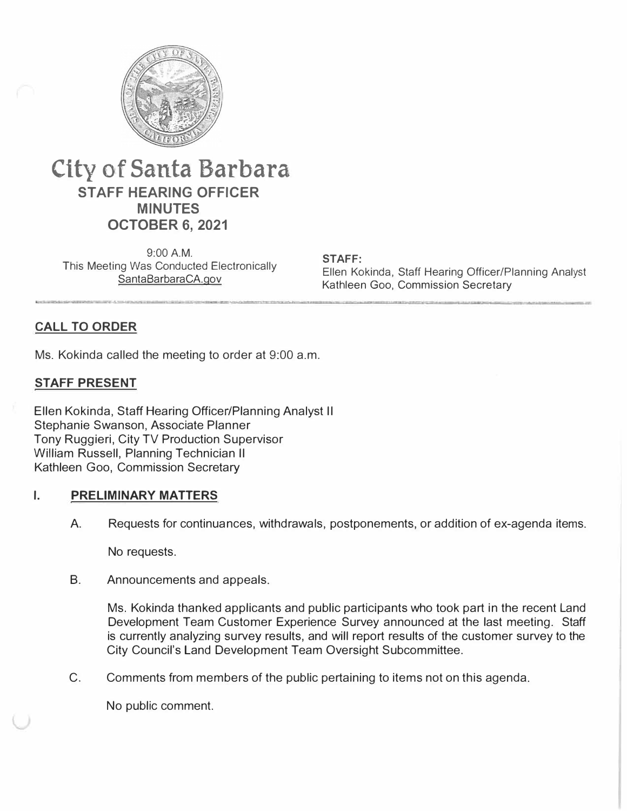

# **City of Santa Barbara STAFF HEARING OFFICER MINUTES OCTOBER 6, 2021**

9:00 A.M. This Meeting Was Conducted Electronically SantaBarbaraCA.gov

**STAFF:**  Ellen Kokinda, Staff Hearing Officer/Planning Analyst Kathleen Goo, Commission Secretary

# **CALL TO ORDER**

Ms. Kokinda called the meeting to order at 9:00 a.m.

## **STAFF PRESENT**

Ellen Kokinda, Staff Hearing Officer/Planning Analyst II Stephanie Swanson, Associate Planner Tony Ruggieri, City TV Production Supervisor William Russell, Planning Technician II Kathleen Goo, Commission Secretary

#### **I. PRELIMINARY MATTERS**

A. Requests for continuances, withdrawals, postponements, or addition of ex-agenda items.

No requests.

B. Announcements and appeals.

Ms. Kokinda thanked applicants and public participants who took part in the recent Land Development Team Customer Experience Survey announced at the last meeting. Staff is currently analyzing survey results, and will report results of the customer survey to the City Council's Land Development Team Oversight Subcommittee.

C. Comments from members of the public pertaining to items not on this agenda.

No public comment.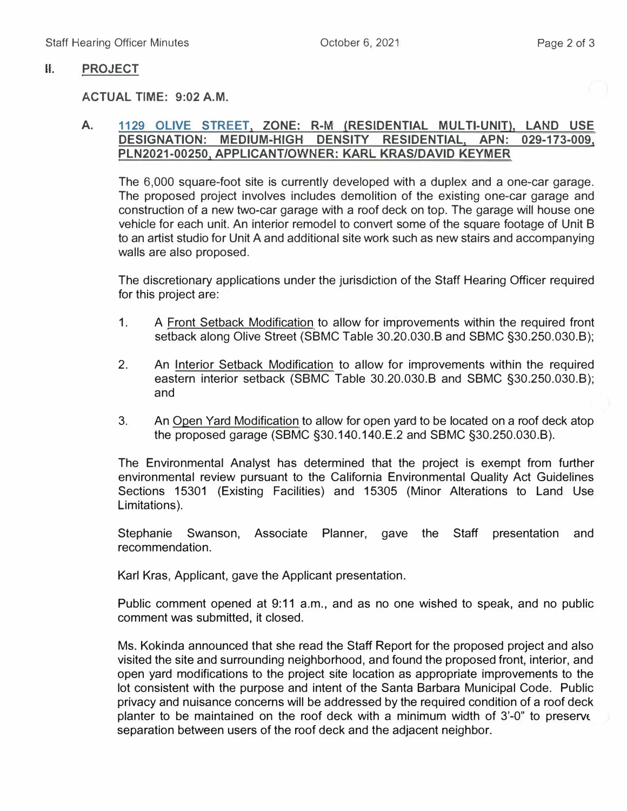### II. **PROJECT**

#### **ACTUAL TIME: 9:02 A.M.**

#### **A. 1129 OLIVE STREET, ZONE: R-M (RESIDENTIAL MUL Tl-UNIT}, LAND USE DESIGNATION: MEDIUM-HIGH DENSITY RESIDENTIAL, APN: 029-173-009, PLN2021-00250, APPLICANT/OWNER: KARL KRAS/DAVID KEYMER**

The 6,000 square-foot site is currently developed with a duplex and a one-car garage. The proposed project involves includes demolition of the existing one-car garage and construction of a new two-car garage with a roof deck on top. The garage will house one vehicle for each unit. An interior remodel to convert some of the square footage of Unit S to an artist studio for Unit A and additional site work such as new stairs and accompanying walls are also proposed.

The discretionary applications under the jurisdiction of the Staff Hearing Officer required for this project are:

- 1. A Front Setback Modification to allow for improvements within the required front setback along Olive Street (SBMC Table 30.20.030.B and SBMC §30.250.030.B);
- 2. An Interior Setback Modification to allow for improvements within the required eastern interior setback (SSMC Table 30.20.030.B and SSMC §30.250.030.S); and
- 3. An Open Yard Modification to allow for open yard to be located on a roof deck atop the proposed garage (SSMC §30.140.140.E.2 and SSMC §30.250.030.B).

The Environmental Analyst has determined that the project is exempt from further environmental review pursuant to the California Environmental Quality Act Guidelines Sections 15301 (Existing Facilities) and 15305 (Minor Alterations to Land Use Limitations).

Stephanie Swanson, Associate Planner, gave the Staff presentation and recommendation.

Karl Kras, Applicant, gave the Applicant presentation.

Public comment opened at 9:11 a.m., and as no one wished to speak, and no public comment was submitted, it closed.

Ms. Kokinda announced that she read the Staff Report for the proposed project and also visited the site and surrounding neighborhood, and found the proposed front, interior, and open yard modifications to the project site location as appropriate improvements to the lot consistent with the purpose and intent of the Santa Barbara Municipal Code. Public privacy and nuisance concerns will be addressed by the required condition of a roof deck planter to be maintained on the roof deck with a minimum width of  $3'-0$ " to preserve separation between users of the roof deck and the adjacent neighbor.